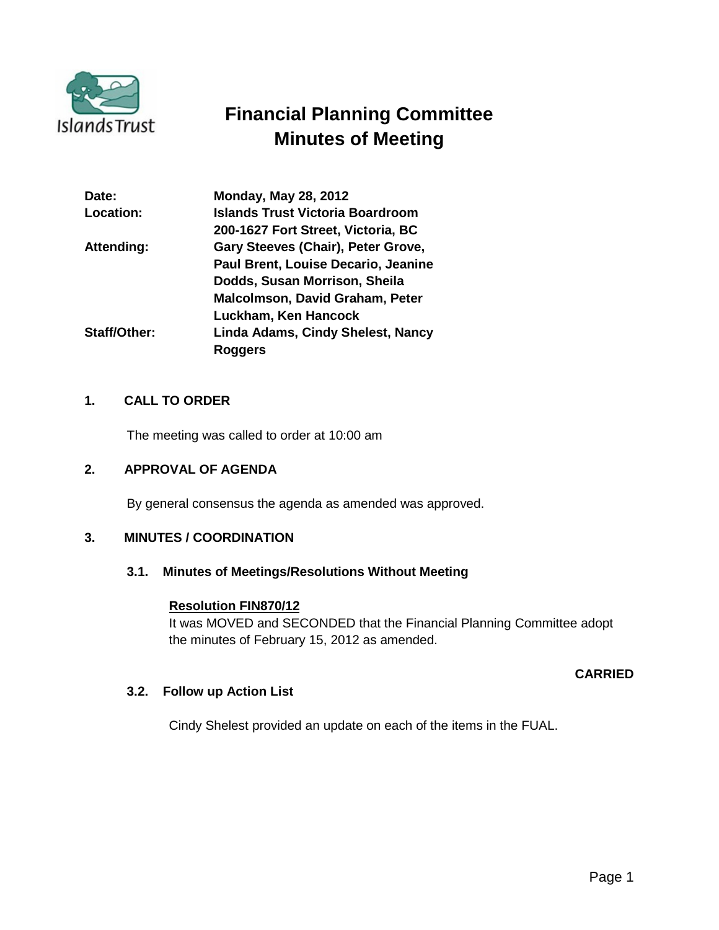

# **Financial Planning Committee Minutes of Meeting**

| Date:        | <b>Monday, May 28, 2012</b>            |
|--------------|----------------------------------------|
| Location:    | Islands Trust Victoria Boardroom       |
|              | 200-1627 Fort Street, Victoria, BC     |
| Attending:   | Gary Steeves (Chair), Peter Grove,     |
|              | Paul Brent, Louise Decario, Jeanine    |
|              | Dodds, Susan Morrison, Sheila          |
|              | <b>Malcolmson, David Graham, Peter</b> |
|              | Luckham, Ken Hancock                   |
| Staff/Other: | Linda Adams, Cindy Shelest, Nancy      |
|              | Roggers                                |

# **1. CALL TO ORDER**

The meeting was called to order at 10:00 am

# **2. APPROVAL OF AGENDA**

By general consensus the agenda as amended was approved.

# **3. MINUTES / COORDINATION**

# **3.1. Minutes of Meetings/Resolutions Without Meeting**

#### **Resolution FIN870/12**

It was MOVED and SECONDED that the Financial Planning Committee adopt the minutes of February 15, 2012 as amended.

# **CARRIED**

#### **3.2. Follow up Action List**

Cindy Shelest provided an update on each of the items in the FUAL.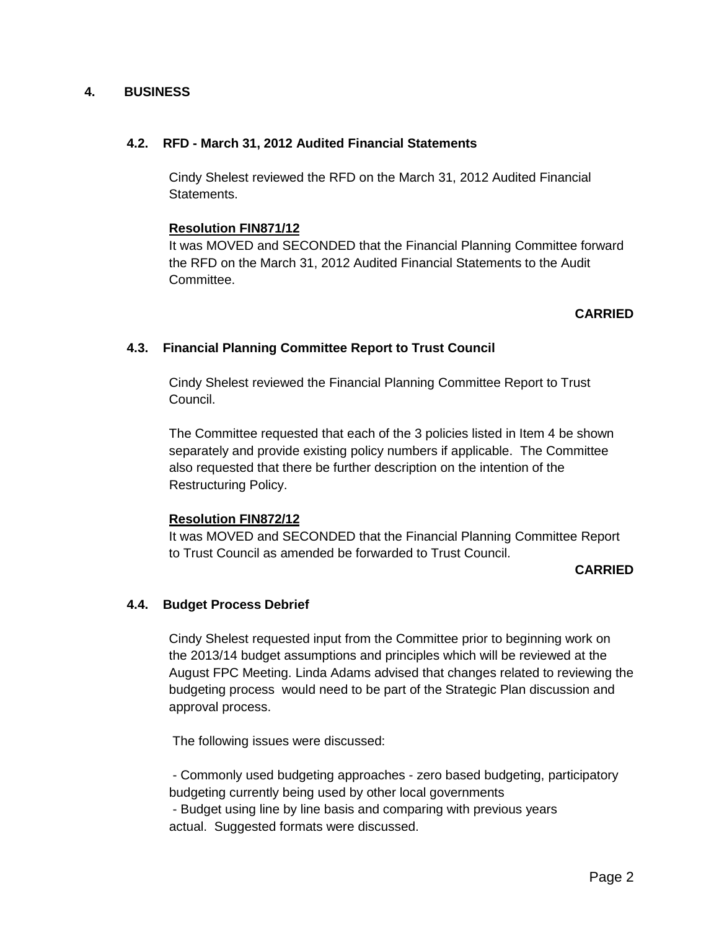# **4. BUSINESS**

#### **4.2. RFD - March 31, 2012 Audited Financial Statements**

Cindy Shelest reviewed the RFD on the March 31, 2012 Audited Financial Statements.

#### **Resolution FIN871/12**

It was MOVED and SECONDED that the Financial Planning Committee forward the RFD on the March 31, 2012 Audited Financial Statements to the Audit Committee.

# **CARRIED**

# **4.3. Financial Planning Committee Report to Trust Council**

Cindy Shelest reviewed the Financial Planning Committee Report to Trust Council.

The Committee requested that each of the 3 policies listed in Item 4 be shown separately and provide existing policy numbers if applicable. The Committee also requested that there be further description on the intention of the Restructuring Policy.

#### **Resolution FIN872/12**

It was MOVED and SECONDED that the Financial Planning Committee Report to Trust Council as amended be forwarded to Trust Council.

#### **CARRIED**

# **4.4. Budget Process Debrief**

Cindy Shelest requested input from the Committee prior to beginning work on the 2013/14 budget assumptions and principles which will be reviewed at the August FPC Meeting. Linda Adams advised that changes related to reviewing the budgeting process would need to be part of the Strategic Plan discussion and approval process.

The following issues were discussed:

- Commonly used budgeting approaches - zero based budgeting, participatory budgeting currently being used by other local governments - Budget using line by line basis and comparing with previous years actual. Suggested formats were discussed.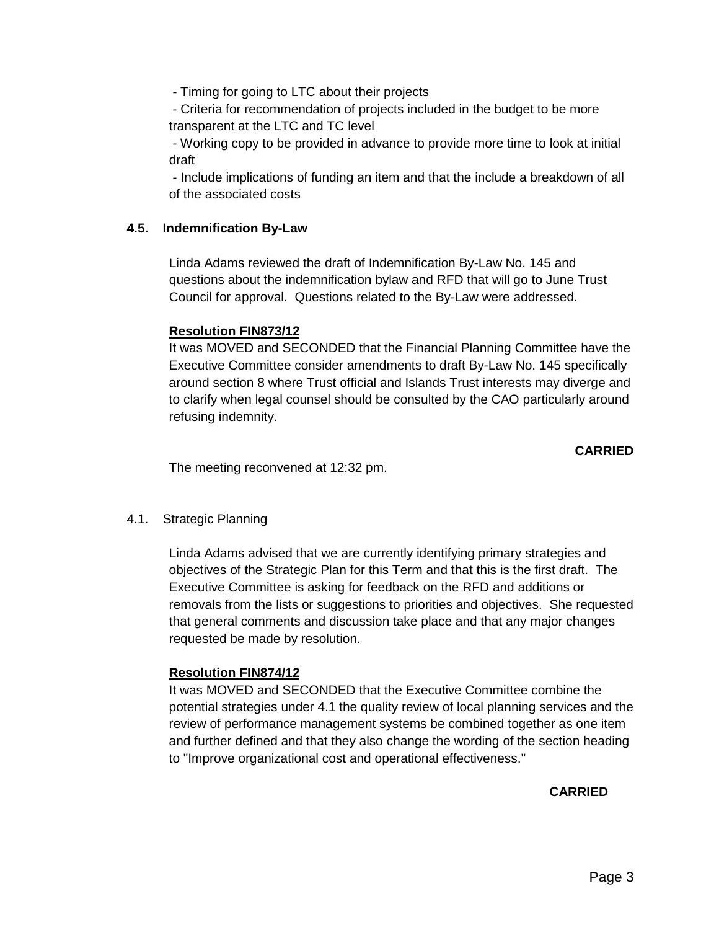- Timing for going to LTC about their projects

- Criteria for recommendation of projects included in the budget to be more transparent at the LTC and TC level

- Working copy to be provided in advance to provide more time to look at initial draft

- Include implications of funding an item and that the include a breakdown of all of the associated costs

# **4.5. Indemnification By-Law**

Linda Adams reviewed the draft of Indemnification By-Law No. 145 and questions about the indemnification bylaw and RFD that will go to June Trust Council for approval. Questions related to the By-Law were addressed.

# **Resolution FIN873/12**

It was MOVED and SECONDED that the Financial Planning Committee have the Executive Committee consider amendments to draft By-Law No. 145 specifically around section 8 where Trust official and Islands Trust interests may diverge and to clarify when legal counsel should be consulted by the CAO particularly around refusing indemnity.

#### **CARRIED**

The meeting reconvened at 12:32 pm.

# 4.1. Strategic Planning

Linda Adams advised that we are currently identifying primary strategies and objectives of the Strategic Plan for this Term and that this is the first draft. The Executive Committee is asking for feedback on the RFD and additions or removals from the lists or suggestions to priorities and objectives. She requested that general comments and discussion take place and that any major changes requested be made by resolution.

# **Resolution FIN874/12**

It was MOVED and SECONDED that the Executive Committee combine the potential strategies under 4.1 the quality review of local planning services and the review of performance management systems be combined together as one item and further defined and that they also change the wording of the section heading to "Improve organizational cost and operational effectiveness."

# **CARRIED**